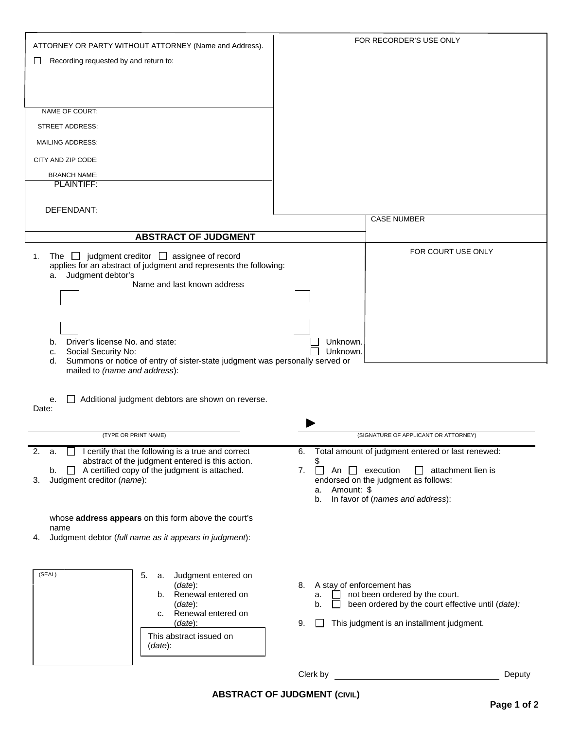| ATTORNEY OR PARTY WITHOUT ATTORNEY (Name and Address).                                                                            | FOR RECORDER'S USE ONLY                                          |
|-----------------------------------------------------------------------------------------------------------------------------------|------------------------------------------------------------------|
| Recording requested by and return to:<br>ப                                                                                        |                                                                  |
|                                                                                                                                   |                                                                  |
|                                                                                                                                   |                                                                  |
|                                                                                                                                   |                                                                  |
| NAME OF COURT:                                                                                                                    |                                                                  |
| <b>STREET ADDRESS:</b>                                                                                                            |                                                                  |
| <b>MAILING ADDRESS:</b>                                                                                                           |                                                                  |
|                                                                                                                                   |                                                                  |
| CITY AND ZIP CODE:                                                                                                                |                                                                  |
| <b>BRANCH NAME:</b><br>PLAINTIFF:                                                                                                 |                                                                  |
|                                                                                                                                   |                                                                  |
| DEFENDANT:                                                                                                                        |                                                                  |
|                                                                                                                                   | <b>CASE NUMBER</b>                                               |
| <b>ABSTRACT OF JUDGMENT</b>                                                                                                       |                                                                  |
|                                                                                                                                   | FOR COURT USE ONLY                                               |
| The $\Box$ judgment creditor $\Box$ assignee of record<br>1.<br>applies for an abstract of judgment and represents the following: |                                                                  |
| Judgment debtor's<br>а.                                                                                                           |                                                                  |
| Name and last known address                                                                                                       |                                                                  |
|                                                                                                                                   |                                                                  |
|                                                                                                                                   |                                                                  |
|                                                                                                                                   |                                                                  |
| Driver's license No. and state:<br>b.<br>Social Security No:<br>c.                                                                | Unknown.<br>Unknown.                                             |
| Summons or notice of entry of sister-state judgment was personally served or<br>d.                                                |                                                                  |
| mailed to (name and address):                                                                                                     |                                                                  |
|                                                                                                                                   |                                                                  |
| Additional judgment debtors are shown on reverse.<br>е.                                                                           |                                                                  |
| Date:                                                                                                                             |                                                                  |
|                                                                                                                                   | (SIGNATURE OF APPLICANT OR ATTORNEY)                             |
| (TYPE OR PRINT NAME)                                                                                                              |                                                                  |
| I certify that the following is a true and correct<br>2.<br>a.<br>abstract of the judgment entered is this action.                | Total amount of judgment entered or last renewed:<br>6.<br>\$    |
| $\Box$ A certified copy of the judgment is attached.<br>b.                                                                        | 7.<br>An $\Box$ execution<br>$\Box$ attachment lien is<br>$\Box$ |
| Judgment creditor (name):<br>3.                                                                                                   | endorsed on the judgment as follows:<br>Amount: \$<br>а.         |
|                                                                                                                                   | In favor of (names and address):<br>b.                           |
|                                                                                                                                   |                                                                  |
| whose address appears on this form above the court's<br>name                                                                      |                                                                  |
| Judgment debtor (full name as it appears in judgment):<br>4.                                                                      |                                                                  |
|                                                                                                                                   |                                                                  |
|                                                                                                                                   |                                                                  |
| (SEAL)<br>5.<br>Judgment entered on<br>a.<br>$(data)$ :                                                                           | A stay of enforcement has<br>8.                                  |
| b. Renewal entered on                                                                                                             | not been ordered by the court.<br>а.                             |
| (data):                                                                                                                           | been ordered by the court effective until (date):<br>b.          |
| Renewal entered on<br>C.<br>(data):                                                                                               | This judgment is an installment judgment.<br>9.                  |
| This abstract issued on                                                                                                           |                                                                  |
| (data):                                                                                                                           |                                                                  |
|                                                                                                                                   |                                                                  |
|                                                                                                                                   | Clerk by<br>Deputy                                               |